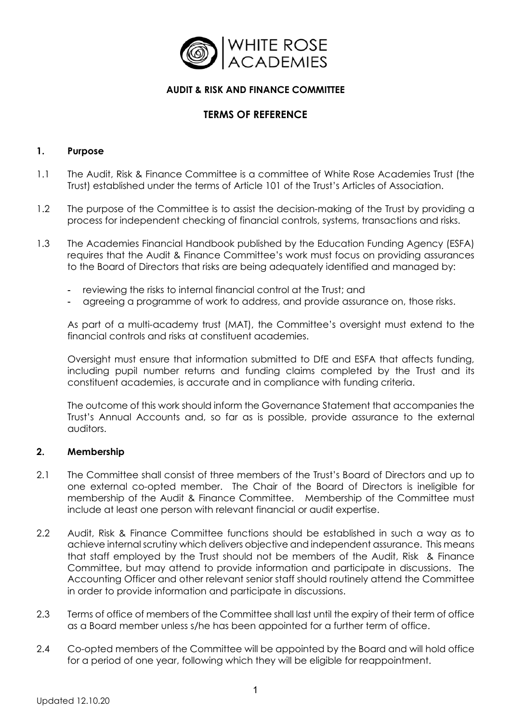

# **AUDIT & RISK AND FINANCE COMMITTEE**

# **TERMS OF REFERENCE**

#### **1. Purpose**

- 1.1 The Audit, Risk & Finance Committee is a committee of White Rose Academies Trust (the Trust) established under the terms of Article 101 of the Trust's Articles of Association.
- 1.2 The purpose of the Committee is to assist the decision-making of the Trust by providing a process for independent checking of financial controls, systems, transactions and risks.
- 1.3 The Academies Financial Handbook published by the Education Funding Agency (ESFA) requires that the Audit & Finance Committee's work must focus on providing assurances to the Board of Directors that risks are being adequately identified and managed by:
	- reviewing the risks to internal financial control at the Trust; and
	- agreeing a programme of work to address, and provide assurance on, those risks.

As part of a multi-academy trust (MAT), the Committee's oversight must extend to the financial controls and risks at constituent academies.

Oversight must ensure that information submitted to DfE and ESFA that affects funding, including pupil number returns and funding claims completed by the Trust and its constituent academies, is accurate and in compliance with funding criteria.

The outcome of this work should inform the Governance Statement that accompanies the Trust's Annual Accounts and, so far as is possible, provide assurance to the external auditors.

#### **2. Membership**

- 2.1 The Committee shall consist of three members of the Trust's Board of Directors and up to one external co-opted member. The Chair of the Board of Directors is ineligible for membership of the Audit & Finance Committee. Membership of the Committee must include at least one person with relevant financial or audit expertise.
- 2.2 Audit, Risk & Finance Committee functions should be established in such a way as to achieve internal scrutiny which delivers objective and independent assurance. This means that staff employed by the Trust should not be members of the Audit, Risk & Finance Committee, but may attend to provide information and participate in discussions. The Accounting Officer and other relevant senior staff should routinely attend the Committee in order to provide information and participate in discussions.
- 2.3 Terms of office of members of the Committee shall last until the expiry of their term of office as a Board member unless s/he has been appointed for a further term of office.
- 2.4 Co-opted members of the Committee will be appointed by the Board and will hold office for a period of one year, following which they will be eligible for reappointment.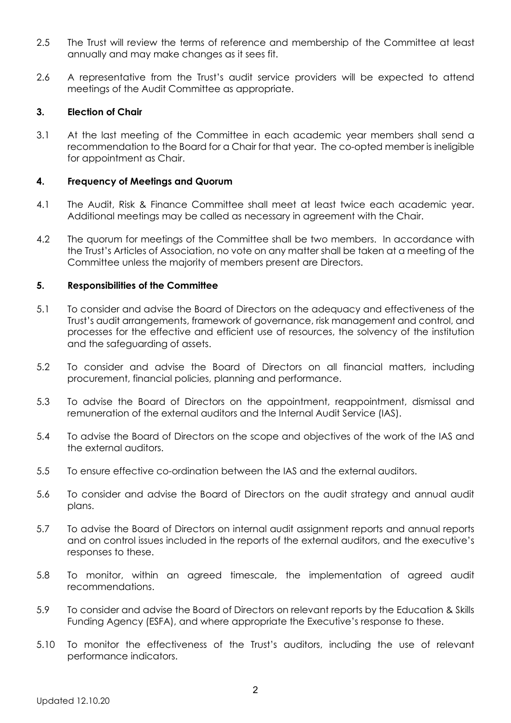- 2.5 The Trust will review the terms of reference and membership of the Committee at least annually and may make changes as it sees fit.
- 2.6 A representative from the Trust's audit service providers will be expected to attend meetings of the Audit Committee as appropriate.

## **3. Election of Chair**

3.1 At the last meeting of the Committee in each academic year members shall send a recommendation to the Board for a Chair for that year. The co-opted member is ineligible for appointment as Chair.

## **4. Frequency of Meetings and Quorum**

- 4.1 The Audit, Risk & Finance Committee shall meet at least twice each academic year. Additional meetings may be called as necessary in agreement with the Chair.
- 4.2 The quorum for meetings of the Committee shall be two members. In accordance with the Trust's Articles of Association, no vote on any matter shall be taken at a meeting of the Committee unless the majority of members present are Directors.

## **5. Responsibilities of the Committee**

- 5.1 To consider and advise the Board of Directors on the adequacy and effectiveness of the Trust's audit arrangements, framework of governance, risk management and control, and processes for the effective and efficient use of resources, the solvency of the institution and the safeguarding of assets.
- 5.2 To consider and advise the Board of Directors on all financial matters, including procurement, financial policies, planning and performance.
- 5.3 To advise the Board of Directors on the appointment, reappointment, dismissal and remuneration of the external auditors and the Internal Audit Service (IAS).
- 5.4 To advise the Board of Directors on the scope and objectives of the work of the IAS and the external auditors.
- 5.5 To ensure effective co-ordination between the IAS and the external auditors.
- 5.6 To consider and advise the Board of Directors on the audit strategy and annual audit plans.
- 5.7 To advise the Board of Directors on internal audit assignment reports and annual reports and on control issues included in the reports of the external auditors, and the executive's responses to these.
- 5.8 To monitor, within an agreed timescale, the implementation of agreed audit recommendations.
- 5.9 To consider and advise the Board of Directors on relevant reports by the Education & Skills Funding Agency (ESFA), and where appropriate the Executive's response to these.
- 5.10 To monitor the effectiveness of the Trust's auditors, including the use of relevant performance indicators.